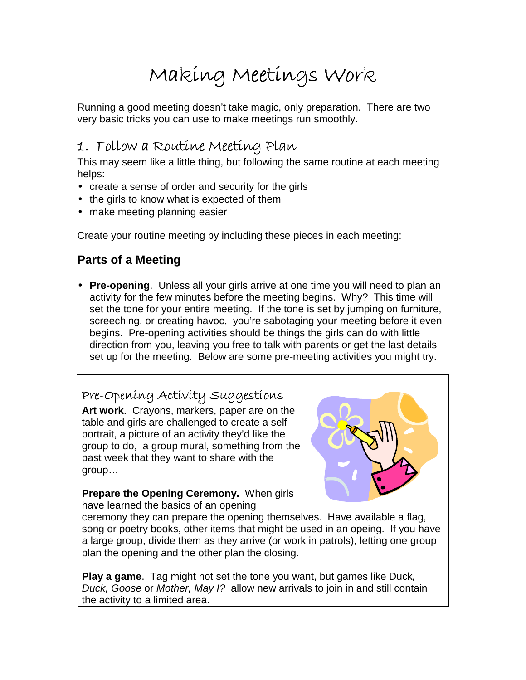# Making Meetings Work

Running a good meeting doesn't take magic, only preparation. There are two very basic tricks you can use to make meetings run smoothly.

## 1. Follow a Routine Meeting Plan

This may seem like a little thing, but following the same routine at each meeting helps:

- create a sense of order and security for the girls
- the girls to know what is expected of them
- make meeting planning easier

Create your routine meeting by including these pieces in each meeting:

## **Parts of a Meeting**

• **Pre-opening**. Unless all your girls arrive at one time you will need to plan an activity for the few minutes before the meeting begins. Why? This time will set the tone for your entire meeting. If the tone is set by jumping on furniture, screeching, or creating havoc, you're sabotaging your meeting before it even begins. Pre-opening activities should be things the girls can do with little direction from you, leaving you free to talk with parents or get the last details set up for the meeting. Below are some pre-meeting activities you might try.

Pre-Opening Activity Suggestions **Art work**. Crayons, markers, paper are on the table and girls are challenged to create a selfportrait, a picture of an activity they'd like the group to do, a group mural, something from the past week that they want to share with the group…



**Prepare the Opening Ceremony.** When girls have learned the basics of an opening

ceremony they can prepare the opening themselves. Have available a flag, song or poetry books, other items that might be used in an opeing. If you have a large group, divide them as they arrive (or work in patrols), letting one group plan the opening and the other plan the closing.

**Play a game**. Tag might not set the tone you want, but games like Duck, Duck, Goose or Mother, May I? allow new arrivals to join in and still contain the activity to a limited area.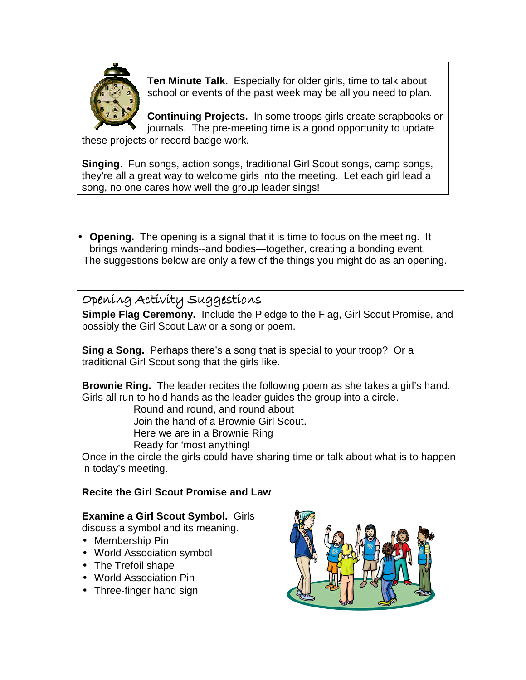

**Ten Minute Talk.** Especially for older girls, time to talk about school or events of the past week may be all you need to plan.

**Continuing Projects.** In some troops girls create scrapbooks or journals. The pre-meeting time is a good opportunity to update these projects or record badge work.

**Singing**. Fun songs, action songs, traditional Girl Scout songs, camp songs, they're all a great way to welcome girls into the meeting. Let each girl lead a song, no one cares how well the group leader sings!

• **Opening.** The opening is a signal that it is time to focus on the meeting. It brings wandering minds--and bodies—together, creating a bonding event. The suggestions below are only a few of the things you might do as an opening.

Opening Activity Suggestions

**Simple Flag Ceremony.** Include the Pledge to the Flag, Girl Scout Promise, and possibly the Girl Scout Law or a song or poem.

**Sing a Song.** Perhaps there's a song that is special to your troop? Or a traditional Girl Scout song that the girls like.

**Brownie Ring.** The leader recites the following poem as she takes a girl's hand. Girls all run to hold hands as the leader guides the group into a circle.

Round and round, and round about

Join the hand of a Brownie Girl Scout.

Here we are in a Brownie Ring

Ready for 'most anything!

Once in the circle the girls could have sharing time or talk about what is to happen in today's meeting.

### **Recite the Girl Scout Promise and Law**

## **Examine a Girl Scout Symbol.** Girls

discuss a symbol and its meaning.

- Membership Pin
- World Association symbol
- The Trefoil shape
- World Association Pin
- Three-finger hand sign

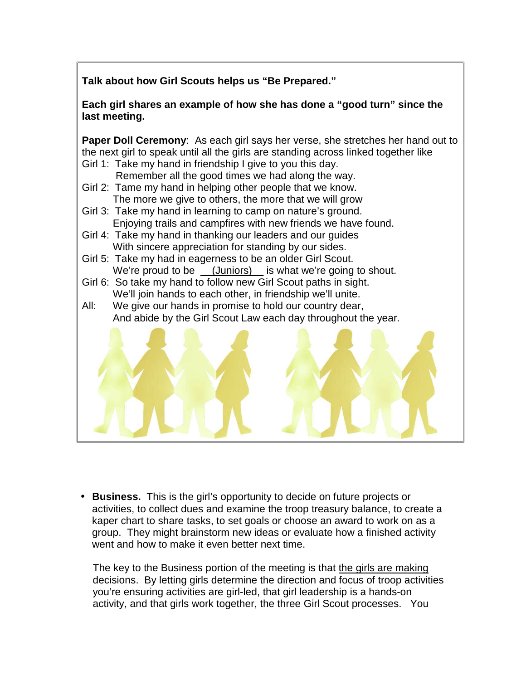**Talk about how Girl Scouts helps us "Be Prepared."** 

**Each girl shares an example of how she has done a "good turn" since the last meeting.** 

**Paper Doll Ceremony**: As each girl says her verse, she stretches her hand out to the next girl to speak until all the girls are standing across linked together like Girl 1: Take my hand in friendship I give to you this day.

- Remember all the good times we had along the way. Girl 2: Tame my hand in helping other people that we know.
	- The more we give to others, the more that we will grow
- Girl 3: Take my hand in learning to camp on nature's ground. Enjoying trails and campfires with new friends we have found.
- Girl 4: Take my hand in thanking our leaders and our guides With sincere appreciation for standing by our sides.
- Girl 5: Take my had in eagerness to be an older Girl Scout. We're proud to be \_\_(Juniors)\_ is what we're going to shout.
- Girl 6: So take my hand to follow new Girl Scout paths in sight. We'll join hands to each other, in friendship we'll unite.
- All: We give our hands in promise to hold our country dear, And abide by the Girl Scout Law each day throughout the year.



• **Business.** This is the girl's opportunity to decide on future projects or activities, to collect dues and examine the troop treasury balance, to create a kaper chart to share tasks, to set goals or choose an award to work on as a group. They might brainstorm new ideas or evaluate how a finished activity went and how to make it even better next time.

The key to the Business portion of the meeting is that the girls are making decisions. By letting girls determine the direction and focus of troop activities you're ensuring activities are girl-led, that girl leadership is a hands-on activity, and that girls work together, the three Girl Scout processes. You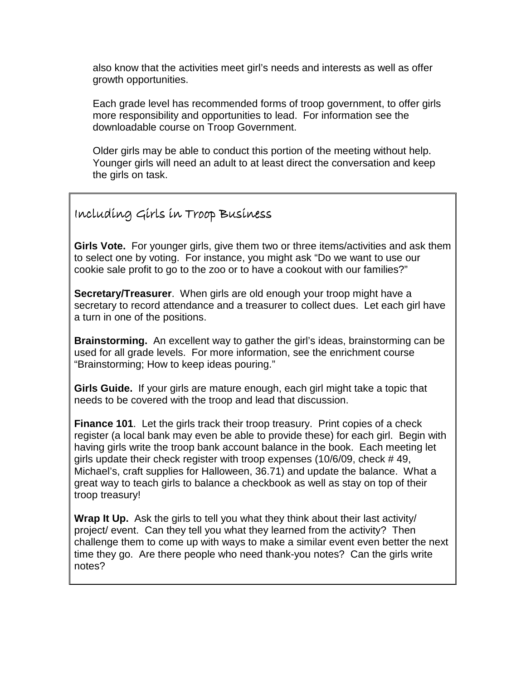also know that the activities meet girl's needs and interests as well as offer growth opportunities.

Each grade level has recommended forms of troop government, to offer girls more responsibility and opportunities to lead. For information see the downloadable course on Troop Government.

Older girls may be able to conduct this portion of the meeting without help. Younger girls will need an adult to at least direct the conversation and keep the girls on task.

### Including Girls in Troop Business Including Girls in Troop Business luding Business

**Girls Vote.** For younger girls, give them two or three items/activities and ask them to select one by voting. For instance, you might ask "Do we want to use our cookie sale profit to go to the zoo or to have a cookout with our families?"

**Secretary/Treasurer**. When girls are old enough your troop might have a secretary to record attendance and a treasurer to collect dues. Let each girl have a turn in one of the positions.

**Brainstorming.** An excellent way to gather the girl's ideas, brainstorming can be used for all grade levels. For more information, see the enrichment course "Brainstorming; How to keep ideas pouring."

**Girls Guide.** If your girls are mature enough, each girl might take a topic that needs to be covered with the troop and lead that discussion.

**Finance 101.** Let the girls track their troop treasury. Print copies of a check register (a local bank may even be able to provide these) for each girl. Begin with having girls write the troop bank account balance in the book. Each meeting let girls update their check register with troop expenses (10/6/09, check # 49, Michael's, craft supplies for Halloween, 36.71) and update the balance. What a great way to teach girls to balance a checkbook as well as stay on top of their troop treasury!

**Wrap It Up.** Ask the girls to tell you what they think about their last activity/ project/ event. Can they tell you what they learned from the activity? Then challenge them to come up with ways to make a similar event even better the next time they go. Are there people who need thank-you notes? Can the girls write notes?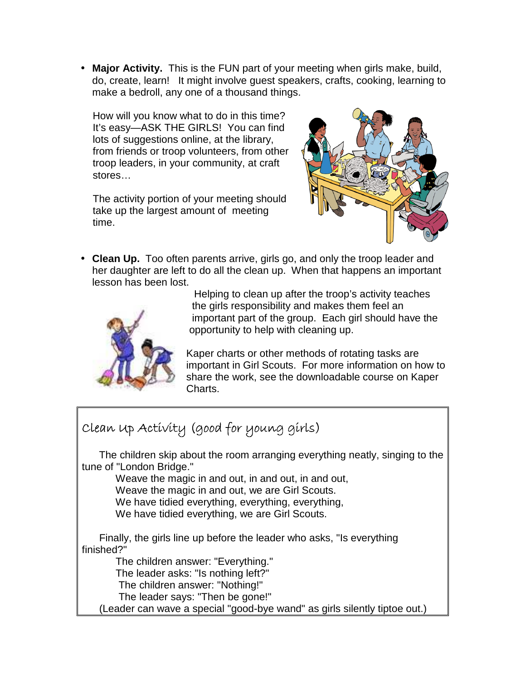• **Major Activity.** This is the FUN part of your meeting when girls make, build, do, create, learn! It might involve guest speakers, crafts, cooking, learning to make a bedroll, any one of a thousand things.

How will you know what to do in this time? It's easy—ASK THE GIRLS! You can find lots of suggestions online, at the library, from friends or troop volunteers, from other troop leaders, in your community, at craft stores…

The activity portion of your meeting should take up the largest amount of meeting time.



• **Clean Up.** Too often parents arrive, girls go, and only the troop leader and her daughter are left to do all the clean up. When that happens an important lesson has been lost.



 Helping to clean up after the troop's activity teaches the girls responsibility and makes them feel an important part of the group. Each girl should have the opportunity to help with cleaning up.

Kaper charts or other methods of rotating tasks are important in Girl Scouts. For more information on how to share the work, see the downloadable course on Kaper Charts.

# Clean Up Activity (good for young girls)

 The children skip about the room arranging everything neatly, singing to the tune of "London Bridge."

Weave the magic in and out, in and out, in and out,

Weave the magic in and out, we are Girl Scouts.

We have tidied everything, everything, everything,

We have tidied everything, we are Girl Scouts.

 Finally, the girls line up before the leader who asks, "Is everything finished?"

The children answer: "Everything."

The leader asks: "Is nothing left?"

The children answer: "Nothing!"

The leader says: "Then be gone!"

(Leader can wave a special "good-bye wand" as girls silently tiptoe out.)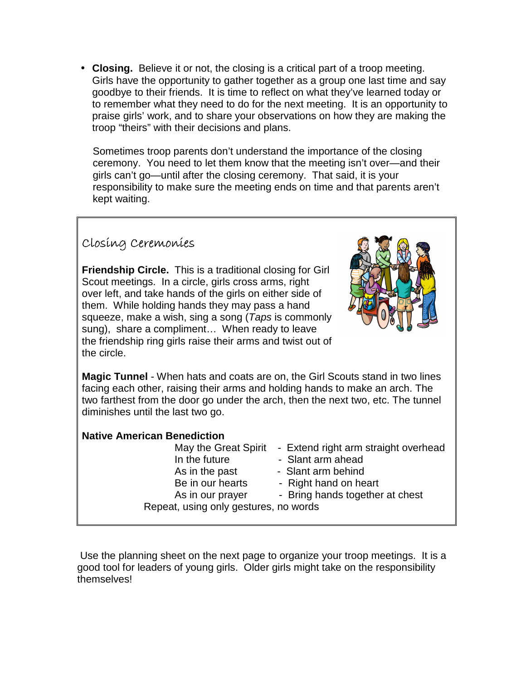• **Closing.** Believe it or not, the closing is a critical part of a troop meeting. Girls have the opportunity to gather together as a group one last time and say goodbye to their friends. It is time to reflect on what they've learned today or to remember what they need to do for the next meeting. It is an opportunity to praise girls' work, and to share your observations on how they are making the troop "theirs" with their decisions and plans.

Sometimes troop parents don't understand the importance of the closing ceremony. You need to let them know that the meeting isn't over—and their girls can't go—until after the closing ceremony. That said, it is your responsibility to make sure the meeting ends on time and that parents aren't kept waiting.

## Closing Ceremonies

**Friendship Circle.** This is a traditional closing for Girl Scout meetings. In a circle, girls cross arms, right over left, and take hands of the girls on either side of them. While holding hands they may pass a hand squeeze, make a wish, sing a song (Taps is commonly sung), share a compliment… When ready to leave the friendship ring girls raise their arms and twist out of the circle.



**Magic Tunnel** - When hats and coats are on, the Girl Scouts stand in two lines facing each other, raising their arms and holding hands to make an arch. The two farthest from the door go under the arch, then the next two, etc. The tunnel diminishes until the last two go.

#### **Native American Benediction**

- May the Great Spirit Extend right arm straight overhead
- In the future  **Slant arm ahead**
- As in the past Slant arm behind
- Be in our hearts Right hand on heart
- As in our prayer Bring hands together at chest

Repeat, using only gestures, no words

 Use the planning sheet on the next page to organize your troop meetings. It is a good tool for leaders of young girls. Older girls might take on the responsibility themselves!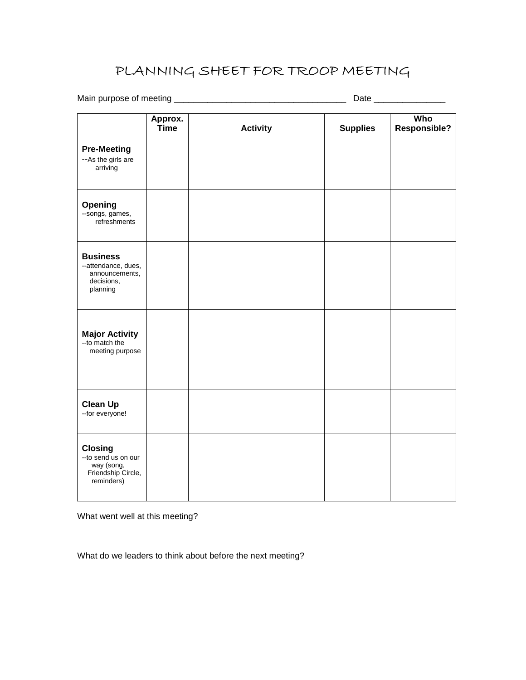## PLANNING SHEET FOR TROOP MEETING

Main purpose of meeting \_\_\_\_\_\_\_\_\_\_\_\_\_\_\_\_\_\_\_\_\_\_\_\_\_\_\_\_\_\_\_\_\_\_\_\_ Date \_\_\_\_\_\_\_\_\_\_\_\_\_\_\_

|                                                                                          | Approx.<br>Time | <b>Activity</b> | <b>Supplies</b> | Who<br><b>Responsible?</b> |
|------------------------------------------------------------------------------------------|-----------------|-----------------|-----------------|----------------------------|
| <b>Pre-Meeting</b><br>--As the girls are<br>arriving                                     |                 |                 |                 |                            |
| Opening<br>--songs, games,<br>refreshments                                               |                 |                 |                 |                            |
| <b>Business</b><br>--attendance, dues,<br>announcements,<br>decisions,<br>planning       |                 |                 |                 |                            |
| <b>Major Activity</b><br>-- to match the<br>meeting purpose                              |                 |                 |                 |                            |
| <b>Clean Up</b><br>--for everyone!                                                       |                 |                 |                 |                            |
| <b>Closing</b><br>-- to send us on our<br>way (song,<br>Friendship Circle,<br>reminders) |                 |                 |                 |                            |

What went well at this meeting?

What do we leaders to think about before the next meeting?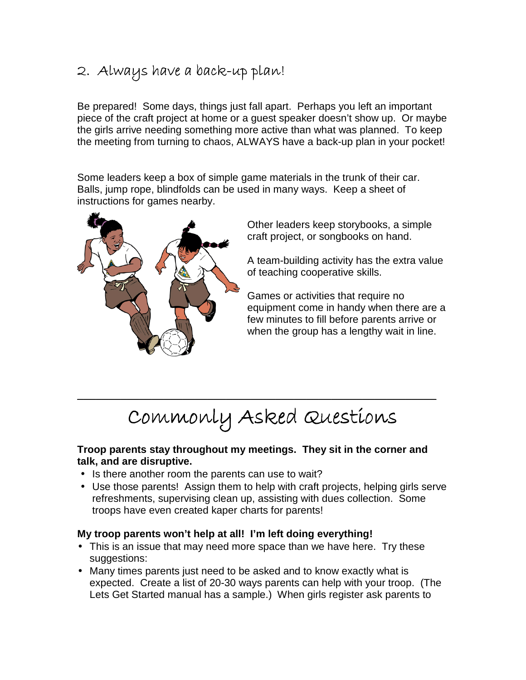## 2. Always have a back-up plan!

Be prepared! Some days, things just fall apart. Perhaps you left an important piece of the craft project at home or a guest speaker doesn't show up. Or maybe the girls arrive needing something more active than what was planned. To keep the meeting from turning to chaos, ALWAYS have a back-up plan in your pocket!

Some leaders keep a box of simple game materials in the trunk of their car. Balls, jump rope, blindfolds can be used in many ways. Keep a sheet of instructions for games nearby.



Other leaders keep storybooks, a simple craft project, or songbooks on hand.

A team-building activity has the extra value of teaching cooperative skills.

Games or activities that require no equipment come in handy when there are a few minutes to fill before parents arrive or when the group has a lengthy wait in line.

# Commonly Asked Questions

 $\frac{1}{2}$  ,  $\frac{1}{2}$  ,  $\frac{1}{2}$  ,  $\frac{1}{2}$  ,  $\frac{1}{2}$  ,  $\frac{1}{2}$  ,  $\frac{1}{2}$  ,  $\frac{1}{2}$  ,  $\frac{1}{2}$  ,  $\frac{1}{2}$  ,  $\frac{1}{2}$  ,  $\frac{1}{2}$  ,  $\frac{1}{2}$  ,  $\frac{1}{2}$  ,  $\frac{1}{2}$  ,  $\frac{1}{2}$  ,  $\frac{1}{2}$  ,  $\frac{1}{2}$  ,  $\frac{1$ 

#### **Troop parents stay throughout my meetings. They sit in the corner and talk, and are disruptive.**

- Is there another room the parents can use to wait?
- Use those parents! Assign them to help with craft projects, helping girls serve refreshments, supervising clean up, assisting with dues collection. Some troops have even created kaper charts for parents!

#### **My troop parents won't help at all! I'm left doing everything!**

- This is an issue that may need more space than we have here. Try these suggestions:
- Many times parents just need to be asked and to know exactly what is expected. Create a list of 20-30 ways parents can help with your troop. (The Lets Get Started manual has a sample.) When girls register ask parents to